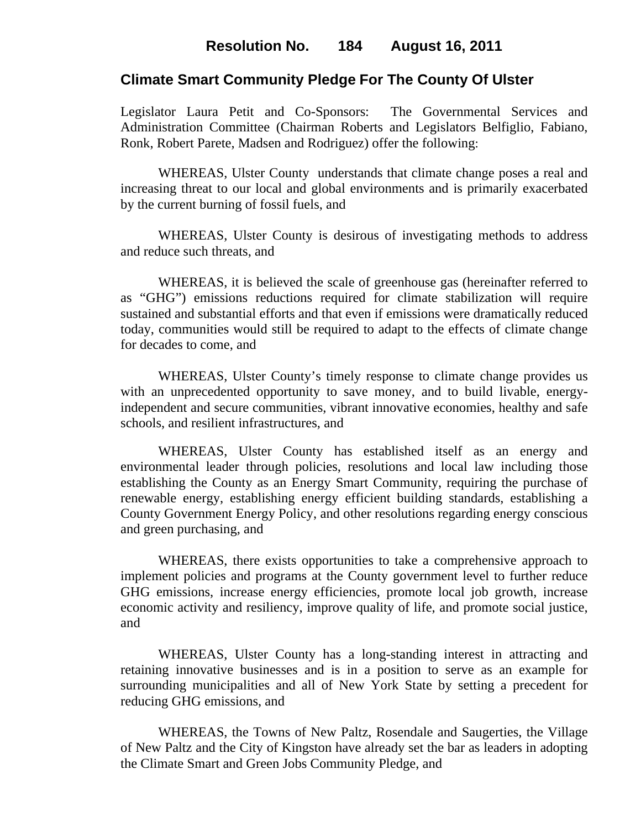### **Climate Smart Community Pledge For The County Of Ulster**

Legislator Laura Petit and Co-Sponsors: The Governmental Services and Administration Committee (Chairman Roberts and Legislators Belfiglio, Fabiano, Ronk, Robert Parete, Madsen and Rodriguez) offer the following:

WHEREAS, Ulster County understands that climate change poses a real and increasing threat to our local and global environments and is primarily exacerbated by the current burning of fossil fuels, and

WHEREAS, Ulster County is desirous of investigating methods to address and reduce such threats, and

WHEREAS, it is believed the scale of greenhouse gas (hereinafter referred to as "GHG") emissions reductions required for climate stabilization will require sustained and substantial efforts and that even if emissions were dramatically reduced today, communities would still be required to adapt to the effects of climate change for decades to come, and

WHEREAS, Ulster County's timely response to climate change provides us with an unprecedented opportunity to save money, and to build livable, energyindependent and secure communities, vibrant innovative economies, healthy and safe schools, and resilient infrastructures, and

WHEREAS, Ulster County has established itself as an energy and environmental leader through policies, resolutions and local law including those establishing the County as an Energy Smart Community, requiring the purchase of renewable energy, establishing energy efficient building standards, establishing a County Government Energy Policy, and other resolutions regarding energy conscious and green purchasing, and

WHEREAS, there exists opportunities to take a comprehensive approach to implement policies and programs at the County government level to further reduce GHG emissions, increase energy efficiencies, promote local job growth, increase economic activity and resiliency, improve quality of life, and promote social justice, and

WHEREAS, Ulster County has a long-standing interest in attracting and retaining innovative businesses and is in a position to serve as an example for surrounding municipalities and all of New York State by setting a precedent for reducing GHG emissions, and

WHEREAS, the Towns of New Paltz, Rosendale and Saugerties, the Village of New Paltz and the City of Kingston have already set the bar as leaders in adopting the Climate Smart and Green Jobs Community Pledge, and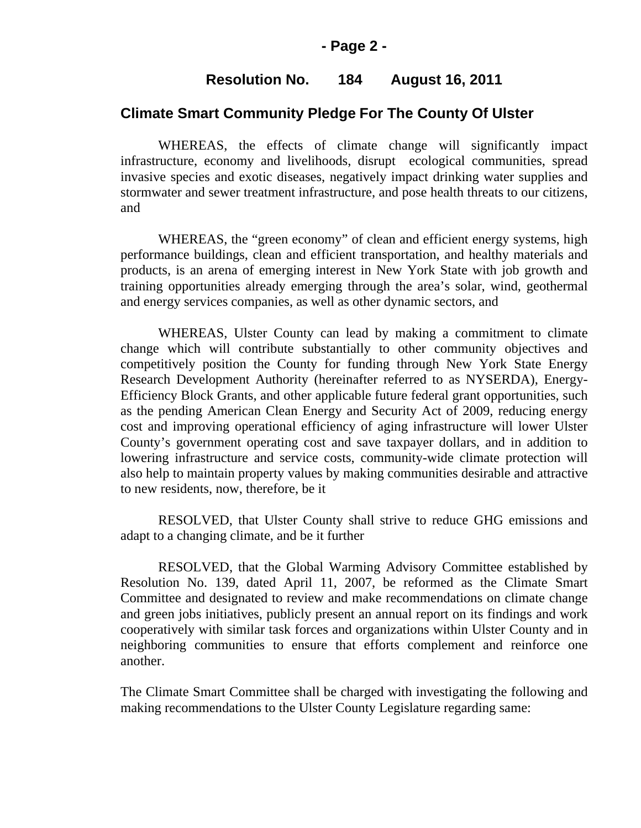#### **Climate Smart Community Pledge For The County Of Ulster**

WHEREAS, the effects of climate change will significantly impact infrastructure, economy and livelihoods, disrupt ecological communities, spread invasive species and exotic diseases, negatively impact drinking water supplies and stormwater and sewer treatment infrastructure, and pose health threats to our citizens, and

WHEREAS, the "green economy" of clean and efficient energy systems, high performance buildings, clean and efficient transportation, and healthy materials and products, is an arena of emerging interest in New York State with job growth and training opportunities already emerging through the area's solar, wind, geothermal and energy services companies, as well as other dynamic sectors, and

WHEREAS, Ulster County can lead by making a commitment to climate change which will contribute substantially to other community objectives and competitively position the County for funding through New York State Energy Research Development Authority (hereinafter referred to as NYSERDA), Energy-Efficiency Block Grants, and other applicable future federal grant opportunities, such as the pending American Clean Energy and Security Act of 2009, reducing energy cost and improving operational efficiency of aging infrastructure will lower Ulster County's government operating cost and save taxpayer dollars, and in addition to lowering infrastructure and service costs, community-wide climate protection will also help to maintain property values by making communities desirable and attractive to new residents, now, therefore, be it

RESOLVED, that Ulster County shall strive to reduce GHG emissions and adapt to a changing climate, and be it further

RESOLVED, that the Global Warming Advisory Committee established by Resolution No. 139, dated April 11, 2007, be reformed as the Climate Smart Committee and designated to review and make recommendations on climate change and green jobs initiatives, publicly present an annual report on its findings and work cooperatively with similar task forces and organizations within Ulster County and in neighboring communities to ensure that efforts complement and reinforce one another.

The Climate Smart Committee shall be charged with investigating the following and making recommendations to the Ulster County Legislature regarding same: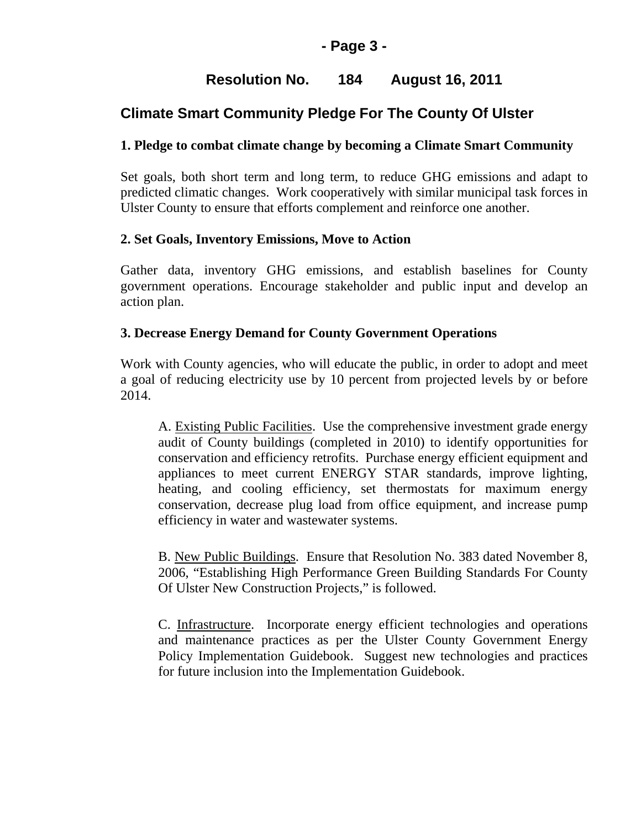# **Climate Smart Community Pledge For The County Of Ulster**

## **1. Pledge to combat climate change by becoming a Climate Smart Community**

Set goals, both short term and long term, to reduce GHG emissions and adapt to predicted climatic changes. Work cooperatively with similar municipal task forces in Ulster County to ensure that efforts complement and reinforce one another.

## **2. Set Goals, Inventory Emissions, Move to Action**

Gather data, inventory GHG emissions, and establish baselines for County government operations. Encourage stakeholder and public input and develop an action plan.

## **3. Decrease Energy Demand for County Government Operations**

Work with County agencies, who will educate the public, in order to adopt and meet a goal of reducing electricity use by 10 percent from projected levels by or before 2014.

A. Existing Public Facilities. Use the comprehensive investment grade energy audit of County buildings (completed in 2010) to identify opportunities for conservation and efficiency retrofits. Purchase energy efficient equipment and appliances to meet current ENERGY STAR standards, improve lighting, heating, and cooling efficiency, set thermostats for maximum energy conservation, decrease plug load from office equipment, and increase pump efficiency in water and wastewater systems.

B. New Public Buildings. Ensure that Resolution No. 383 dated November 8, 2006, "Establishing High Performance Green Building Standards For County Of Ulster New Construction Projects," is followed.

C. Infrastructure. Incorporate energy efficient technologies and operations and maintenance practices as per the Ulster County Government Energy Policy Implementation Guidebook. Suggest new technologies and practices for future inclusion into the Implementation Guidebook.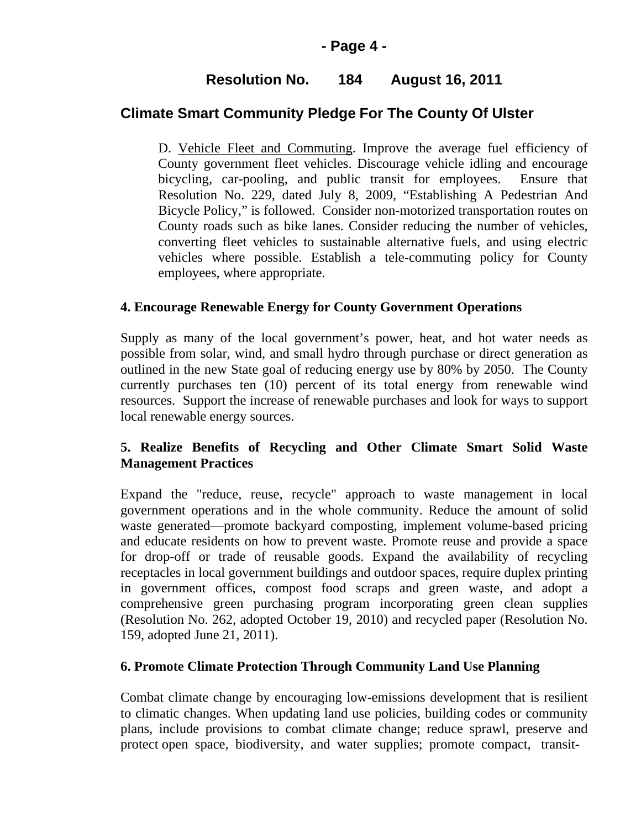## **Climate Smart Community Pledge For The County Of Ulster**

D. Vehicle Fleet and Commuting. Improve the average fuel efficiency of County government fleet vehicles. Discourage vehicle idling and encourage bicycling, car-pooling, and public transit for employees. Ensure that Resolution No. 229, dated July 8, 2009, "Establishing A Pedestrian And Bicycle Policy," is followed. Consider non-motorized transportation routes on County roads such as bike lanes. Consider reducing the number of vehicles, converting fleet vehicles to sustainable alternative fuels, and using electric vehicles where possible. Establish a tele-commuting policy for County employees, where appropriate.

#### **4. Encourage Renewable Energy for County Government Operations**

Supply as many of the local government's power, heat, and hot water needs as possible from solar, wind, and small hydro through purchase or direct generation as outlined in the new State goal of reducing energy use by 80% by 2050. The County currently purchases ten (10) percent of its total energy from renewable wind resources. Support the increase of renewable purchases and look for ways to support local renewable energy sources.

### **5. Realize Benefits of Recycling and Other Climate Smart Solid Waste Management Practices**

Expand the "reduce, reuse, recycle" approach to waste management in local government operations and in the whole community. Reduce the amount of solid waste generated—promote backyard composting, implement volume-based pricing and educate residents on how to prevent waste. Promote reuse and provide a space for drop-off or trade of reusable goods. Expand the availability of recycling receptacles in local government buildings and outdoor spaces, require duplex printing in government offices, compost food scraps and green waste, and adopt a comprehensive green purchasing program incorporating green clean supplies (Resolution No. 262, adopted October 19, 2010) and recycled paper (Resolution No. 159, adopted June 21, 2011).

#### **6. Promote Climate Protection Through Community Land Use Planning**

Combat climate change by encouraging low-emissions development that is resilient to climatic changes. When updating land use policies, building codes or community plans, include provisions to combat climate change; reduce sprawl, preserve and protect open space, biodiversity, and water supplies; promote compact, transit-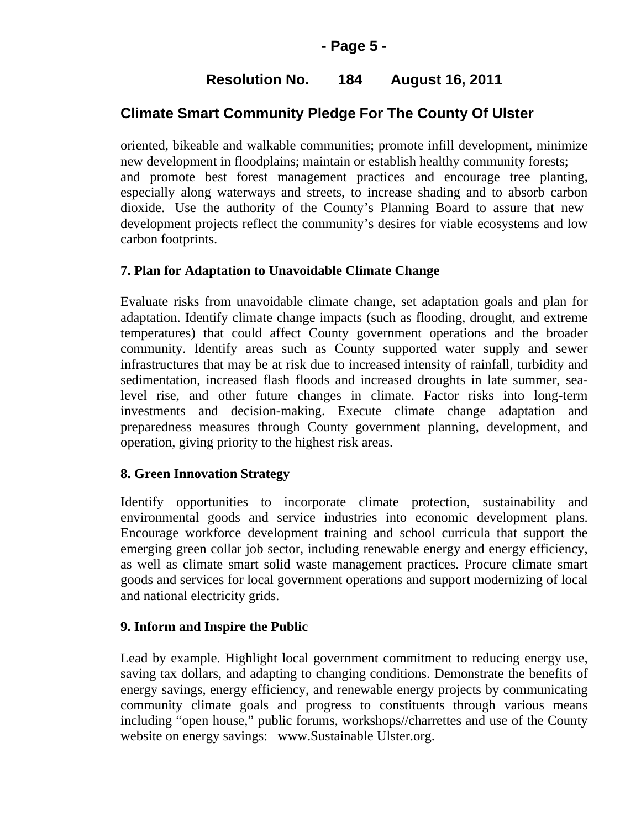## **Climate Smart Community Pledge For The County Of Ulster**

oriented, bikeable and walkable communities; promote infill development, minimize new development in floodplains; maintain or establish healthy community forests; and promote best forest management practices and encourage tree planting, especially along waterways and streets, to increase shading and to absorb carbon dioxide. Use the authority of the County's Planning Board to assure that new development projects reflect the community's desires for viable ecosystems and low carbon footprints.

## **7. Plan for Adaptation to Unavoidable Climate Change**

Evaluate risks from unavoidable climate change, set adaptation goals and plan for adaptation. Identify climate change impacts (such as flooding, drought, and extreme temperatures) that could affect County government operations and the broader community. Identify areas such as County supported water supply and sewer infrastructures that may be at risk due to increased intensity of rainfall, turbidity and sedimentation, increased flash floods and increased droughts in late summer, sealevel rise, and other future changes in climate. Factor risks into long-term investments and decision-making. Execute climate change adaptation and preparedness measures through County government planning, development, and operation, giving priority to the highest risk areas.

## **8. Green Innovation Strategy**

Identify opportunities to incorporate climate protection, sustainability and environmental goods and service industries into economic development plans. Encourage workforce development training and school curricula that support the emerging green collar job sector, including renewable energy and energy efficiency, as well as climate smart solid waste management practices. Procure climate smart goods and services for local government operations and support modernizing of local and national electricity grids.

## **9. Inform and Inspire the Public**

Lead by example. Highlight local government commitment to reducing energy use, saving tax dollars, and adapting to changing conditions. Demonstrate the benefits of energy savings, energy efficiency, and renewable energy projects by communicating community climate goals and progress to constituents through various means including "open house," public forums, workshops//charrettes and use of the County website on energy savings: www.Sustainable Ulster.org.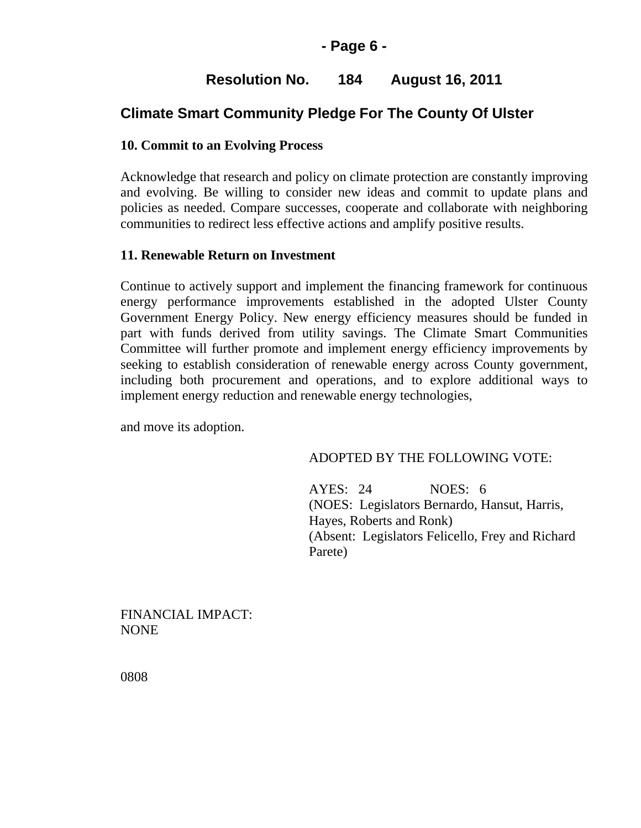### **- Page 6 -**

## **Resolution No. 184 August 16, 2011**

## **Climate Smart Community Pledge For The County Of Ulster**

#### **10. Commit to an Evolving Process**

Acknowledge that research and policy on climate protection are constantly improving and evolving. Be willing to consider new ideas and commit to update plans and policies as needed. Compare successes, cooperate and collaborate with neighboring communities to redirect less effective actions and amplify positive results.

#### **11. Renewable Return on Investment**

Continue to actively support and implement the financing framework for continuous energy performance improvements established in the adopted Ulster County Government Energy Policy. New energy efficiency measures should be funded in part with funds derived from utility savings. The Climate Smart Communities Committee will further promote and implement energy efficiency improvements by seeking to establish consideration of renewable energy across County government, including both procurement and operations, and to explore additional ways to implement energy reduction and renewable energy technologies,

and move its adoption.

#### ADOPTED BY THE FOLLOWING VOTE:

AYES: 24 NOES: 6 (NOES: Legislators Bernardo, Hansut, Harris, Hayes, Roberts and Ronk) (Absent: Legislators Felicello, Frey and Richard Parete)

FINANCIAL IMPACT: NONE

0808